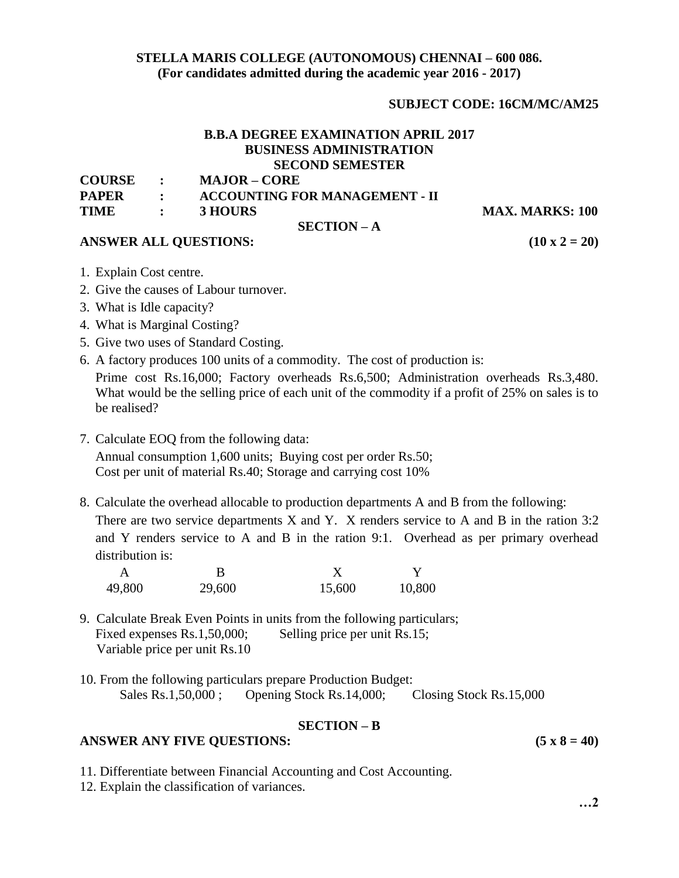## **STELLA MARIS COLLEGE (AUTONOMOUS) CHENNAI – 600 086. (For candidates admitted during the academic year 2016 - 2017)**

# **SUBJECT CODE: 16CM/MC/AM25**

#### **B.B.A DEGREE EXAMINATION APRIL 2017 BUSINESS ADMINISTRATION SECOND SEMESTER COURSE : MAJOR – CORE**

**SECTION – A**

| <b>PAPER</b> | <b>ACCOUNTING FOR MANAGEMENT - II</b> |
|--------------|---------------------------------------|
|              |                                       |

**TIME** : **3 HOURS** MAX. MARKS: 100

## **ANSWER ALL QUESTIONS: (10 x 2 = 20)**

- 1. Explain Cost centre.
- 2. Give the causes of Labour turnover.
- 3. What is Idle capacity?
- 4. What is Marginal Costing?
- 5. Give two uses of Standard Costing.
- 6. A factory produces 100 units of a commodity. The cost of production is:

Prime cost Rs.16,000; Factory overheads Rs.6,500; Administration overheads Rs.3,480. What would be the selling price of each unit of the commodity if a profit of 25% on sales is to be realised?

- 7. Calculate EOQ from the following data: Annual consumption 1,600 units; Buying cost per order Rs.50; Cost per unit of material Rs.40; Storage and carrying cost 10%
- 8. Calculate the overhead allocable to production departments A and B from the following: There are two service departments X and Y. X renders service to A and B in the ration 3:2 and Y renders service to A and B in the ration 9:1. Overhead as per primary overhead distribution is:

| 49,800 | 29,600 | 15,600 | 10,800 |
|--------|--------|--------|--------|

- 9. Calculate Break Even Points in units from the following particulars; Fixed expenses Rs.1,50,000; Selling price per unit Rs.15; Variable price per unit Rs.10
- 10. From the following particulars prepare Production Budget: Sales Rs.1,50,000; Opening Stock Rs.14,000; Closing Stock Rs.15,000

# **SECTION – B**

# **ANSWER ANY FIVE QUESTIONS: (5 x 8 = 40)**

- 11. Differentiate between Financial Accounting and Cost Accounting.
- 12. Explain the classification of variances.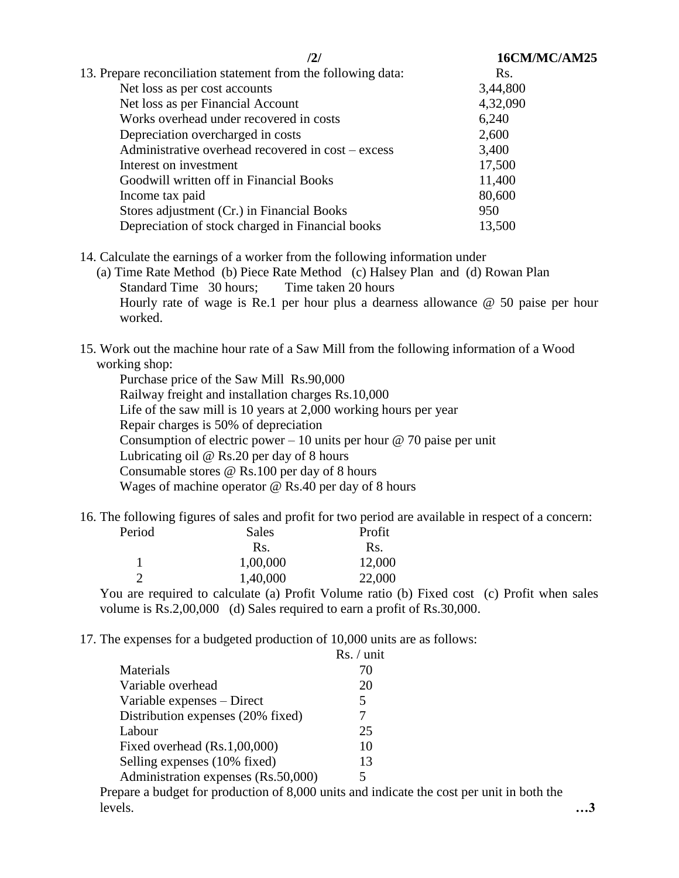|                                                               | 16CM/MC/AM25 |  |  |
|---------------------------------------------------------------|--------------|--|--|
| 13. Prepare reconciliation statement from the following data: | Rs.          |  |  |
| Net loss as per cost accounts                                 | 3,44,800     |  |  |
| Net loss as per Financial Account                             | 4,32,090     |  |  |
| Works overhead under recovered in costs                       | 6,240        |  |  |
| Depreciation overcharged in costs                             | 2,600        |  |  |
| Administrative overhead recovered in cost – excess            | 3,400        |  |  |
| Interest on investment                                        | 17,500       |  |  |
| Goodwill written off in Financial Books                       | 11,400       |  |  |
| Income tax paid                                               | 80,600       |  |  |
| Stores adjustment (Cr.) in Financial Books                    | 950          |  |  |
| Depreciation of stock charged in Financial books              | 13,500       |  |  |
|                                                               |              |  |  |

14. Calculate the earnings of a worker from the following information under

 (a) Time Rate Method (b) Piece Rate Method (c) Halsey Plan and (d) Rowan Plan Standard Time 30 hours; Time taken 20 hours Hourly rate of wage is Re.1 per hour plus a dearness allowance @ 50 paise per hour worked.

15. Work out the machine hour rate of a Saw Mill from the following information of a Wood working shop:

Purchase price of the Saw Mill Rs.90,000 Railway freight and installation charges Rs.10,000 Life of the saw mill is 10 years at 2,000 working hours per year Repair charges is 50% of depreciation Consumption of electric power – 10 units per hour  $\omega$  70 paise per unit Lubricating oil @ Rs.20 per day of 8 hours Consumable stores @ Rs.100 per day of 8 hours Wages of machine operator @ Rs.40 per day of 8 hours

16. The following figures of sales and profit for two period are available in respect of a concern:<br>
Redes Redes Redes Redes

| Period        | Sales    | Profit |
|---------------|----------|--------|
|               | Rs.      | Rs.    |
|               | 1,00,000 | 12,000 |
| $\mathcal{D}$ | 1,40,000 | 22,000 |
|               |          |        |

You are required to calculate (a) Profit Volume ratio (b) Fixed cost (c) Profit when sales volume is Rs.2,00,000 (d) Sales required to earn a profit of Rs.30,000.

17. The expenses for a budgeted production of 10,000 units are as follows:

|                                                               | Rs. / unit |
|---------------------------------------------------------------|------------|
| Materials                                                     | 70         |
| Variable overhead                                             | 20         |
| Variable expenses – Direct                                    | 5          |
| Distribution expenses (20% fixed)                             |            |
| Labour                                                        | 25         |
| Fixed overhead (Rs.1,00,000)                                  | 10         |
| Selling expenses (10% fixed)                                  | 13         |
| Administration expenses (Rs.50,000)                           | 5          |
| engre a budget for production of $8,000$ units and indicate t |            |

 Prepare a budget for production of 8,000 units and indicate the cost per unit in both the levels. **…3**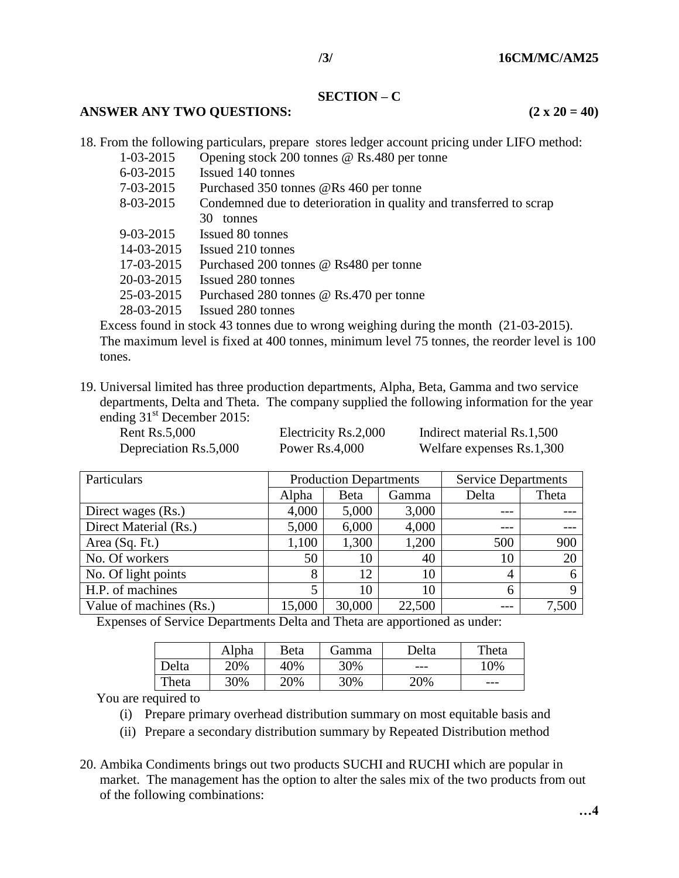#### **SECTION – C**

#### **ANSWER ANY TWO QUESTIONS:** (2 x 20 = 40)

18. From the following particulars, prepare stores ledger account pricing under LIFO method:

- 1-03-2015 Opening stock 200 tonnes @ Rs.480 per tonne
	- 6-03-2015 Issued 140 tonnes
	- 7-03-2015 Purchased 350 tonnes @Rs 460 per tonne
	- 8-03-2015 Condemned due to deterioration in quality and transferred to scrap 30 tonnes
	- 9-03-2015 Issued 80 tonnes
	- 14-03-2015 Issued 210 tonnes
	- 17-03-2015 Purchased 200 tonnes @ Rs480 per tonne
	- 20-03-2015 Issued 280 tonnes
	- 25-03-2015 Purchased 280 tonnes @ Rs.470 per tonne
	- 28-03-2015 Issued 280 tonnes

Excess found in stock 43 tonnes due to wrong weighing during the month (21-03-2015). The maximum level is fixed at 400 tonnes, minimum level 75 tonnes, the reorder level is 100 tones.

19. Universal limited has three production departments, Alpha, Beta, Gamma and two service departments, Delta and Theta. The company supplied the following information for the year ending  $31<sup>st</sup>$  December 2015:

| <b>Rent Rs.5,000</b>  | Electricity Rs.2,000 | Indirect material Rs.1,500 |
|-----------------------|----------------------|----------------------------|
| Depreciation Rs.5,000 | Power $Rs.4,000$     | Welfare expenses Rs.1,300  |

| Particulars             | <b>Production Departments</b> |        | <b>Service Departments</b> |                |       |
|-------------------------|-------------------------------|--------|----------------------------|----------------|-------|
|                         | Alpha                         | Beta   | Gamma                      | Delta          | Theta |
| Direct wages (Rs.)      | 4,000                         | 5,000  | 3,000                      |                |       |
| Direct Material (Rs.)   | 5,000                         | 6,000  | 4,000                      |                |       |
| Area (Sq. Ft.)          | 1,100                         | 1,300  | 1,200                      | 500            | 900   |
| No. Of workers          | 50                            | 10     | 40                         | 10             | 20    |
| No. Of light points     | 8                             | 12     | 10                         | $\overline{4}$ |       |
| H.P. of machines        |                               | 10     | 10                         | 6              | Q     |
| Value of machines (Rs.) | 15,000                        | 30,000 | 22,500                     |                | 7,500 |

Expenses of Service Departments Delta and Theta are apportioned as under:

|       | Alpha | Beta | Gamma | Delta | Theta |
|-------|-------|------|-------|-------|-------|
| Delta | 20%   | 40%  | 30%   | $---$ | 10%   |
| Theta | 30%   | 20%  | 30%   | 20%   | ---   |

You are required to

- (i) Prepare primary overhead distribution summary on most equitable basis and
- (ii) Prepare a secondary distribution summary by Repeated Distribution method
- 20. Ambika Condiments brings out two products SUCHI and RUCHI which are popular in market. The management has the option to alter the sales mix of the two products from out of the following combinations: